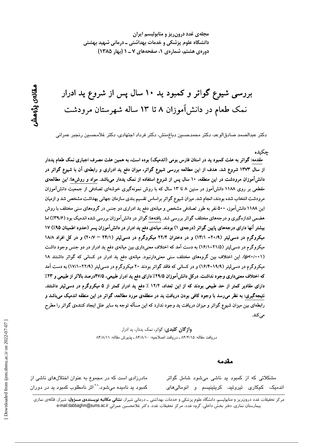مجلهی غدد درون ریز و متابولیسم ایران دانشگاه علوم پزشکی و خدمات بهداشتی ــ درمانی شهید بهشتی دورهی هشتم، شمارهی ۱، صفحههای ۷ ـ ۱ (بهار ۱۳۸۵)

بررسی شیوع گواتر و کمبود ید ۱۰ سال پس از شروع ید ادرار نمک طعام در دانشآموزان ۸ تا ۱۳ ساله شهرستان مرودشت

دکتر عبدالصمد صادقالوعد، دکتر محمدحسین دباغِمنش، دکتر فرداد اجتهادی، دکتر غلامحسین رنجبر عمرانی

### جكيده

مقدمه: گواتر به علت کمبود ید در استان فارس بومی (اندمیک) بوده است، به همین علت مصرف اجباری نمک طعام یددار از سال ۱۳۷۳ شروع شد. هدف از این مطالعه بررسی شیوع گواتر، میزان دفع ید ادراری و رابطهی آن با شیوع گواتر در دانشآموزان مرودشت در این منطقه، ۱۰ سال پس از شروع استفاده از نمک یددار میباشد. مواد و روشها: این مطالعهی مقطعی بر روی ۱۱۸۸ دانشآموز در سنین ۸ تا ۱۳ سال که با روش نمونهگیری خوشهای تصادفی از جمعیت دانشآموزان مرودشت انتخاب شده بودند، انجام شد. میزان شیوع گواتر براساس تقسیم بندی سازمان جهانی بهداشت مشخص شد و ازمیان این ۱۱۸۸ دانشآموز، ۵۰۰ نفر به طور تصادفی مشخص و میانهی دفع ید ادراری دو جنس در گروههای سنی مختلف با روش هضمی اندازهگیری و درجههای مختلف گواتر بررسی شد. یافتهها: گواتر در دانشآموزان بررسی شده اندمیک بود (۳۹/۶٪) اما بیشتر آنها دارای درجههای پایین گواتر (درجهی ۱) بودند. میانهی دفع ید ادرار در دانشآموزان پسر (حدود اطمینان ۹۵٪) ۱۷ میکروگرم در دسی[یتر (۲۰/۹– ۱۳/۱) و در دختران ۲۲/۴ میکروگرم در دسی[یتر (۲۴/۱ – ۲۰/۷) و در کل افراد ۱۸/۸ میکروگرم در دسی[یتر (۲۱/۵–۱۶/۱) به دست آمد که اختلاف معنیداری بین میانهی دفع ید ادرار در دو جنس وجود داشت (p<۰/۰۰۱). این اختلاف بین گروههای مختلف سنی معنیدارنبود. میانهی دفع ید ادرار در کسانی که گواتر داشتند ۱۸ میکروگرم در دسی[یتر (۱۹/۹–۱۶/۴) و در کسانی که فاقد گواتر بودند ۲۰ میکروگرم در دسی[یتر (۲۲/۹–۱۷/۱) به دست آمد که اختلاف معنیداری وجود نداشت. درکل دانش آموزان ۲۹/۵٪ دارای دفع ید ادرار طبیعی، ۴۷/۵درصد بالاتر از طبیعی و ۲۳٪ دارای مقادیر کمتر از حد طبیعی بودند که از این تعداد، ۱۲/۲ ٪ دفع ید ادرار کمتر از ۵ میکروگرم در دسی[یتر داشتند. نتیجهگیری: به نظر میرسد با وجود کافی بودن دریافت ید در منطقهی مورد مطالعه، گواتر در این منطقه اندمیک میباشد و رابطهای بین میزان شیوع گواتر و میزان دریافت ید وجود ندارد که این مسأله توجه به سایر علل ایجاد کنندهی گواتر را مطرح می کند.

> **واژگان کلیدی**: گواتر، نمک یددار، ید ادرار دريافت مقاله: ٨۴/۴/١۵ ـ دريافت اصلاحيه: ٨۴/٨/١٠ ـ پذيرش مقاله: ٨۴/٨/١١

#### مقدمه

مادرزادی است که در مجموع به عنوان اختلالهای ناشی از کمبود ید نامیده میشود.<sup>۲۰</sup>۰ اثر نامطلوب کمبود ید در دوران

مشکلاتی که از کمبود ید ناشی میشود شامل گواتر اندمیک، کمکاری تیروئید، کریتینیسم و انومالی۱مای

مرکز تحقیقات غدد درون٫یز و متابولیسم، دانشگاه علوم پزشکی و خدمات بهداشتی ــ درمانی شیراز، **نشانی مکاتبه نویسندهی مسژول**: شیراز، فلکهی نمازی بيمارستان نمازي، دفتر بخش داخلي، گروه غدد، مركز تحقيقات غدد، دكتر غلامحسين عمراني e-mail:dabbaghm@sums.ac.ir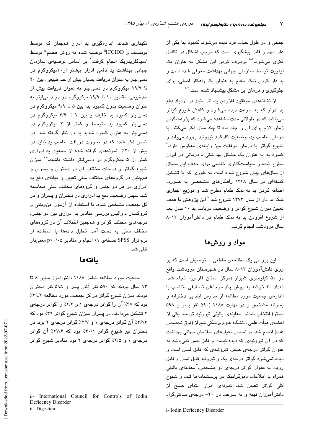جنینی و در طول حیات فرد دیده میشود. کمبود ید<sup>ا</sup> یکی از علل مهم و قابل پیشگیری است که موجب اشکال در تکامل فکری می شود.<sup>۴-۳</sup> برطرف کردن این مشکل به عنوان یک اولویت توسط سازمان جهانی بهداشت معرفی شده است و ید دار کردن نمک طعام به عنوان یک راهکار اصلی، برای جلوگیری و درمان این مشکل پیشنهاد شده است.<sup>۵،۲</sup>

از نشانههای موفقیت افزودن ید، اثر مثبت در ازدیاد دفع ید ادرار که به سرعت دیده میشود و کاهش شیوع گواتر میباشد که در طولانی مدت مشاهده میشود که پژوهشگران زمان لازم برای آن را چند ماه تا چند سال ذکر میکنند. با درمان مناسب ید، وضعیت کارکرد تیروئید بهبود مییابد و شیوع گواتر با درمان موفقیتآمیز رابطهی معکوس دارد. ُ کمبود پد به عنوان یک مشکل بهداشتی ـ درمانی در ایران مطرح شده و سیاستگذاری خاصی برای حذف این مشکل از سالهای پیش شروع شده است به طوری که با تشکیل کمیتهای در سال ۱۳۶۸ راهکارهای مشخصی به صورت اضافه کردن ید به نمک طعام مطرح شد و توزیع اجباری نمک ید دار از سال ۱۳۷۳ شروع شد.<sup>۷</sup> این پژوهش با هدف تعیین میزان شیوع گواتر و وضعیت دریافت ید ۱۰ سال بعد از شروع افزودن بد به نمک طعام در دانشآموزان ۱۳-۸ سال مرودشت انجام گرفت.

# مواد و روشها

این بررسی یک مطالعهی مقطعی ـ توصیفی است که بر روی دانشآموزان ۱۳-۸ سال در شهرستان مرودشت واقع در ۵۰ کیلومتری شیراز (مرکز استان فارس)، انجام شد. تعداد ۴۰ خوشه به روش چند مرحلهای تصادفی متناسب با اندازهی جمعیت مورد مطالعه از مدارس ابتدایی دخترانه و پسرانه مشخص و در نهایت ۱۱۸۸ (۵۹۰ نفر پسر و ۵۹۸ دختر) انتخاب شدند. معاینهی بالینی تیروئید توسط یکی از اعضای هیأت علمی دانشگاه علوم پزشکی شیراز (فوق تخصص غدد) انجام شد. بر اساس معیارهای سازمان جهانی بهداشت که در آن تیروئیدی که دیده نیست و قابل لمس نمیباشد به عنوان گواتر درجهی صفر، تیروئیدی که قابل لمس است و دیده نمیشود گواتر درجهی یک و تیروئید قابل لمس و قابل رویت به عنوان گواتر درجهی دو مشخص،<sup>۲</sup> معاینهی بالینی همراه با اطلاعات دموگرافیک در پرسشنامهها ثبت و شیوع کلی گواتر تعیین شد. نمونه*ی* ادرار ابتدای صبح از دانش آموزان تهیه و به سرعت در ۲۰- درجهی سانتیگراد

i- Iodin Deficency Disorder

نگهداری شدند. اندازهگیری ید ادرار همچنان که توسط يونيسف و ICCIDD" توصيه شده به روش هضم" توسط اسپدکلریدریک انجام گرفت<sup>.۲</sup> بر اساس توصیه*ی* سازمان جهانی بهداشت ید دفعی ادرار بیشتر از ۳۰میکروگرم در دسی لیتر به عنوان دریافت بسیار بیش از حد طبیعی، بین ۲۰ تا ۲۹/۹ میکروگرم در دسیلیتر به عنوان دریافت بیش از حدطبیعی، مقادیر ۱۰ تا ۱۹/۹ میکروگرم در در دسیلیتر به عنوان وضعیت بدون کمبود ید، بین ۵ تا ۹/۹ میکروگرم در دسی لیتر کمبود ید خفیف و بین ۲ تا ۴/۹ میکروگرم در دسی!پتر کمبود پد متوسط و کمتر از ۲ میکروگرم در دسی لیتر به عنوان کمبود شدید ید در نظر گرفته شد. در ضمن ذکر شده که در صورت دریافت مناسب ید نباید در بیش از ٢٠٪ نمونههای گرفته شده از جمعیت ید ادراری کمتر از ۵ میکروگرم در دسی!یتر داشته باشند.<sup>۲۸</sup> میزان شیوع گواتر و درجات مختلف آن در دختران و پسران و همچنین در گروههای مختلف سنی تعیین و میانهی دفع ید ادراری در هر دو جنس و گروههای مختلف سنی محاسبه شد. سپس وضعیت دفع پد ادراری در دختران و پسران و در كل جمعيت مشخص شده، با استفاده از آزمون من ويتني و کروکسال ــ والیس بررسی مقادیر ید ادراری بین دو جنس، درجههای مختلف گواتر و همچنین اختلاف آن در گروههای مختلف سنی به دست آمد. تحلیل دادهها با استفاده از نرمافزار SPSS نسخهی ۱۱ انجام و مقادیر p<۰/۰۵ معنیدار تلقى شد.

# بافتهها

جمعیت مورد مطالعه شامل ۱۱۸۸ دانشآموز سنین ۸ تا ۱۳ سال بودند که ۵۹۰ نفر آنان پسر و ۵۹۸ نفر دختران بودند. میزان شیوع گواتر در کل جمعیت مورد مطالعه ۳۹/۶٪ بود که ۳۷٪ آن را گواتر درجهی ۱ و ۲/۶٪ را گواتر درجهی ۲ تشکیل میدادند. در پسران میزان شیوع گواتر ۳۹٪ بود که ۳۶/۳٪ آن گواتر درجهی ۱ و ۲/۷٪ گواتر درجهی ۲ بود. در دختران نیز شیوع گواتر ۴۰/۱٪ بود که ۳۷/۶٪ آن گواتر درجهی ۱ و ۲/۵٪ گواتر درجهی ۲ بود مقادیر شیوع گواتر

ii- International Council for Controls of Iodin Deficency Disorder iii-Digestion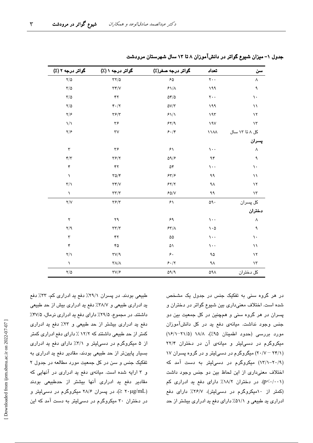| سن                   | تعداد                           | گواتر درجه صفر(٪)                  | گواتر درجه ۱ (٪)                            | گواتر درجه ۲ (٪)                   |
|----------------------|---------------------------------|------------------------------------|---------------------------------------------|------------------------------------|
| ٨                    | $\mathbf{y}$ .                  | $\mathcal{F}\Delta$                | $\tau\tau/\Delta$                           | $Y/\Delta$                         |
| ٩                    | ۱۹۹                             | $51/\lambda$                       | $\tau\tau/\nu$                              | $\tau/\Delta$                      |
| $\mathcal{L}$        | $\mathsf{Y}\cdot\cdot$          | $\Delta \mathfrak{r}/\Delta$       | ۴۲                                          | $\tau/\Delta$                      |
| $\setminus$          | ۱۹۹                             | $\Delta V/\Upsilon$                | $\mathfrak{r}\cdot/\mathfrak{r}$            | $Y/\Delta$                         |
| $\lambda$            | 197                             | 51/1                               | $\mathbf{Y}\mathbf{\mathcal{F}}/\mathbf{Y}$ | $\mathsf{Y}/\mathsf{P}$            |
| $\lambda \tau$       | 19V                             | 54/9                               | ٣۶                                          | $\frac{1}{2}$                      |
| کل ۸ تا ۱۳ سال       | $\lambda\lambda\lambda$         | $\mathfrak{F}\cdot\mathfrak{f}$    | $\tau v$                                    | $\mathsf{Y}/\mathsf{P}$            |
| پسران                |                                 |                                    |                                             |                                    |
| ٨                    | $\mathcal{N}$ .                 | $\mathcal{F}\setminus$             | ۳۶                                          | $\mathbf{r}$                       |
| ٩                    | ۹۴                              | $\Delta \mathfrak{q}/\mathfrak{p}$ | $\mathbf{Y}$ $\mathbf{Y}$                   | $\mathbf{r}/\mathbf{r}$            |
| $\mathcal{L}$        | $\cdots$                        | ۵۴                                 | ۴۲                                          | ۴                                  |
| $\setminus$          | ۹۹                              | 55/5                               | $\Gamma \Delta / \Upsilon$                  | $\lambda$                          |
| $\lambda$            | ٩Λ                              | 55/7                               | $\Upsilon \Upsilon / V$                     | $\mathbf{r}/\mathbf{v}$            |
| $\lambda \tau$       | ۹۹                              | $50/N$                             | $\tau\tau/\tau$                             | $\lambda$                          |
| کل پسران             | $\circ \circ \cdot$             | ۶۱                                 | $\mathbf{Y}$ $\mathbf{F}$                   | Y/Y                                |
| د <mark>ختران</mark> |                                 |                                    |                                             |                                    |
| ٨                    | $\mathcal{N}$ .                 | ۶۹                                 | ٢٩                                          | $\blacktriangledown$               |
| ٩                    | $\mathcal{L} \cdot \mathcal{L}$ | $\mathcal{F} \mathbf{Y} / \Lambda$ | $\tau\tau/\tau$                             | $Y$ <sup><math>\alpha</math></sup> |
| $\mathcal{L}$        | $\cdots$                        | ۵۵                                 | ۴۲                                          | $\mathbf{\breve{v}}$               |
| $\setminus$          | $\mathcal{L}$ .                 | ۵١                                 | ۴۵                                          | ۴                                  |
| $\lambda$            | ۹۵                              | ۶.                                 | $\Upsilon V / 9$                            | $\mathsf{Y}/\mathsf{Y}$            |
| ۱۳                   | ٩Λ                              | $\mathcal{F}\cdot/\mathcal{Y}$     | $\tau\Lambda/\Lambda$                       | $\lambda$                          |
| كل دختران            | ۵۹۸                             | $\Delta \mathrm{q}/\mathrm{q}$     | $\Upsilon V/F$                              | $\sqrt{2}$                         |

جدول ۱– میزان شیوع گواتر در دانشآموزان ۸ تا ۱۳ سال شهرستان مرودشت

طبیعی بودند. در پسران ۲۹/۱٪ دفع ید ادراری کم، ۳۳٪ دفع ید ادراری طبیعی و ۳۸/۷٪ دفع ید ادراری بیش از حد طبیعی داشتند. در مجموع، ۲۹/۵٪ دارای دفع ید ادراری نرمال، ۴۷/۵٪ دفع ید ادراری بیشتر از حد طبیعی و ۲۳٪ دفع ید ادراری کمتر از حد طبیعی داشتند که ۱۲/۲ ٪ دارای دفع ادراری کمتر از ۵ میکروگرم در دسهایتر و ۳/۱٪ دارای دفع ید ادراری بسیار پایینتر از حد طبیعی بودند، مقادیر دفع ید ادراری به تفکیک جنس و سن در کل جمعیت مورد مطالعه در جدول ۲ و ۳ ارایه شده است. میانهی دفع ید ادراری در آنهایی که مقادیر دفع ید ادراری آنها بیشتر از حدطبیعی بودند (۲۰μg/mL ≤)، در پسران ۲۸/۶ میکروگرم در دسی لیتر و در دختران ۳۰ میکروگرم در دسهالیتر به دست آمد که این

در هر گروه سنی به تفکیک جنس در جدول یک مشخص شده است. اختلاف معنی داری بین شیوع گواتر در دختران و پسران در هر گروه سنی و همچنین در کل جمعیت بین دو جنس وجود نداشت. میانهی دفع ید در کل دانشآموزان مورد بررسی (حدود اطمینان ۹۵٪)، ۱۸/۸ (۲۱/۵–۱۶/۱) میکروگرم در دسی لیتر و میانهی آن در دختران ۲۲/۴ (۲۰/۷ - ۲۰/۷) میگروگرم در دسهالیتر و در گروه پسران ۱۷ (۲۰/۹–۱۳/۱) میکروگرم در دسی!یتر به دست آمد که اختلاف معنی داری از این لحاظ بین دو جنس وجود داشت (p<٠/٠٠١). در دختران ١٨/٢٪ دارای دفع پد ادراری کم (کمتر از ۱۰میکروگرم در دسیلیتر)، ۲۶/۷٪ دارای دفع ادراری ید طبیعی و ۵۱/۱٪ دارای دفع ید ادراری بیشتر از حد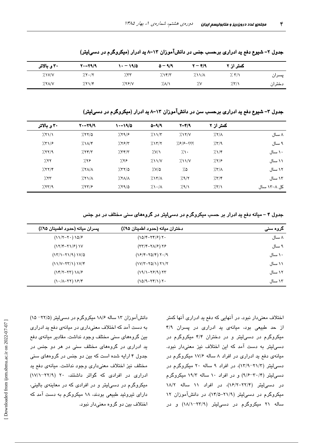|        | کمتر از ۲ | $\mathbf{Y}-\mathbf{Y}/\mathbf{Y}$ | $\Delta - 9/9$ | ۱۰ – ۱۹/۵ | $Y - Y = 19$ | ۳۰ و بالاتر |
|--------|-----------|------------------------------------|----------------|-----------|--------------|-------------|
| پسران  | 7.7/1     | $\frac{1}{2}$ $\frac{1}{4}$        | $7.1$ ۴/۳      | 7.77      | 7.5.7        | $X'$ $V/Y$  |
| دختران | 7.5/1     | ٧.٧                                | 7.1            | 7.59N     | 7.71/F       | XXAY        |

جدول ۲- شیوع دفع ید ادراری برحسب جنس در دانشآموزان ۱۳-۸ ید ادرار (میکروگرم در دسی لیتر)

جدول ۳– شیوع دفع ید ادراری برحسب سن در دانشآموزان ۱۳–۸ ید ادرار (میکروگرم در دسیلیتر)

| ۳۰ و بالاتر | $Y - Y = 19$ | $\frac{1}{2}$ | $0 - 9/9$                          | $Y-Y/9$                            | کمتر از ۲                   |             |
|-------------|--------------|---------------|------------------------------------|------------------------------------|-----------------------------|-------------|
| 7.51/1      | 7.88/2       | 7.59/8        | $2\lambda\sqrt{r}$                 | 7.15/N                             | $7.7/\lambda$               | ۸ سال       |
| 751/5       | $2\lambda x$ | 7.55/5        | 7.17/7                             | ??? – ??                           | 7.579                       | ۹ سال       |
| 7.77/9      | 7.78/7       | 7.777         | X'/Y                               | $\gamma$                           | 7.17                        | ۱۰ سال      |
| 7.77        | 7.78         | 7.78          | $\frac{1}{2}$ $\frac{1}{\sqrt{2}}$ | $\frac{1}{2}$ $\frac{1}{\sqrt{2}}$ | 7.7/8                       | ۱۱ سال      |
| 7.777       | $XX/\Lambda$ | 7.77/a        | ۵/۷٪                               | ۵٪                                 | $\frac{1}{2}$ $\frac{1}{2}$ | ۱۲ سال      |
| 7.57        | X            | $\frac{1}{2}$ | $7.17/\lambda$                     | 7.9/7                              | 7.77                        | ۱۳ سال      |
| 757/9       | 757/8        | 7.79/0        | $\lambda \cdot / \lambda$          | 7.9/1                              | 7.5/1                       | کل ۸–۱۳ سال |

جدول ۴ – میانه دفع ید ادرار بر حسب میکروگرم در دسیلیتر در گروههای سنی مختلف در دو جنس

| پسران ميانه (حدود اطمينان ۹۵٪)                                 | دختران ميانه (حدود اطمينان ۹۵٪) | کروہ سنی |
|----------------------------------------------------------------|---------------------------------|----------|
| $(117 - 7) 107$                                                | $(10/F-YF/F)Y.$                 | ۸ سال    |
| $(YY Y-YY/\epsilon)$                                           | $(YY Y-Y\Lambda/F)YF$           | ۹ سال    |
| $(17/1 - 71/9) 1V/0$                                           | $(YF/F-YQ/F)Y\cdot$             | ۱۰ سال   |
| $(11/V - YY/1)1V/F$                                            | $(1V/T - YQ/1) Y1/Y$            | ۱۱ سال   |
| $(YYY-YY)YY$                                                   | $(19/1 - Y9/9) YY$              | ۱۲ سال   |
| $(\lambda \cdot (\lambda - \lambda \lambda) \lambda \epsilon)$ | $(10/9 - Yf/1)Y.$               | ۱۳ سال   |

اختلاف معنیدار نبود. در آنهایی که دفع ید ادراری آنها کمتر از حد طبیعی بود، میانهی ید ادراری در پسران ۴/۹ میکروگرم در دسی لیتر و در دختران ۴/۴ میکروگرم در دسی لیتر به دست آمد که این اختلاف نیز معنیدار نبود. میانهی دفع ید ادراری در افراد ۸ ساله ۱۷/۶ میکروگرم در دسی لیتر (۲۱/۳–۱۳/۹)، در افراد ۹ ساله ۲۰ میکروگرم در دسهایتر (۳۰/۴–۹/۶) و در افراد ۱۰ ساله ۱۹/۳ میکروگرم در دسهالیتر (۲۲/۴–۱۶/۲)، در افراد ۱۱ ساله ۱۸/۲ میکروگرم در دسهالیتر (۲۱/۹-۱۴/۵)، در دانشآموزان ۱۲ ساله ۲۱ میکروگرم در دسی!یتر (۲۳/۹–۱۸/۱) و در

دانشآموزان ۱۳ ساله ۱۸/۶ میکروگرم در دسمیلیتر (۲۲/۵– ۱۵) به دست آمد که اختلاف معنیداری در میانهی دفع پد ادراری بین گروههای سنی مختلف وجود نداشت. مقادیر میانهی دفع ید ادراری در گروههای مختلف سنی در هر دو جنس در جدول ۴ ارایه شده است که بین دو جنس در گروههای سنی مختلف نیز اختلاف معنی داری وجود نداشت. میانهی دفع ید ادراری در افرادی که گواتر داشتند، ۲۰ (۲۲/۹–۱۷/۱) میکروگرم در دستیلیتر و در افرادی که در معاینهی بالینی، دارای تیروئید طبیعی بودند، ۱۸ میکروگرم به دست آمد که اختلاف بين دو گروه معنىدار نبود.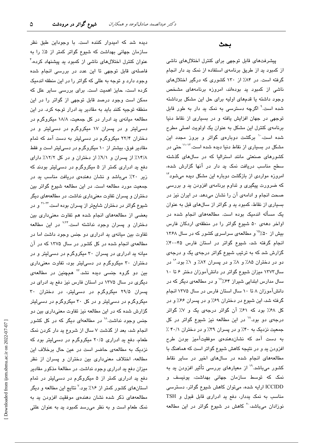دیده شد که امیدوار کننده است. با وجوداین طبق نظر سازمان جهانی بهداشت که شیوع گواتر کمتر از ۵٪ را به عنوان کنترل اختلالهای ناشی از کمبود ید پیشنهاد کرده، ٔ فاصلهی قابل توجهی تا این عدد در بررسی انجام شده وجود دارد و توجه به عللی که گواتر را در این منطقه اندمیک کرده است، حایز اهمیت است. برای بررسی سایر علل که ممکن است وجود درصد قابل توجهی از گواتر را در این منطقه توجیه کنند باید به مقادیر ید ادرار توجه کرد. در این مطالعه میانهی ید ادرار در کل جمعیت، ۱۸/۸ میکروگرم در دسی!یتر و در پسران ۱۷ میکروگرم در دسی!یتر و در دختران ۲۲/۴ میکروگرم در دسهالیتر به دست آمد که تمام مقادیر فوق، بیشتر از ۱۰ میکروگرم در دسی[لیتر است و فقط ١۴/٨٪ از پسران و ٩/١٪ از دختران و در كل ١٢/٢٪ داراى دفع ید ادراری کمتر از ۵ میکروگرم در دسهالیتر بودند که زیر ۲۰٪ میباشد و نشان دهندهی دریافت مناسب ید در جمعیت مورد مطالعه است. در این مطالعه شیوع گواتر بین دختران و پسران تفاوت معنیداری نداشت. در مطالعههای دیگر شیوع گواتر در دختران شایعتر از پسران بوده است.<sup>۲۲</sup>-<sup>۲۰</sup> و در بعضی از مطالعههای انجام شده هم تفاوت معنیداری بین دختران و پسران وجود نداشته است.<sup>۷٬۲۴</sup> در این مطالعه تفاوت بين ميانهي يد ادراري دو جنس وجود داشت اما در مطالعهی انجام شده در کل کشور در سال ۱۳۷۵ که در آن میانه ید ادراری در پسران ۳۰ میکروگرم در دسهالیتر و در دختران ۳۰ میکروگرم در دسیلیتر بود، تفاوت معنیداری بین دو گروه جنسی دیده نشد.<sup>۲۲</sup> همچنین در مطالعه*ی* دیگری در سال ۱۳۷۵ در استان فارس نیز دفع ید ادرای در پسران ۲۹/۵ میکروگرم در دسهایتر، در دختران ۳۰ میکروگرم در دسهایتر و در کل ۳۰ میکروگرم در دسهالیتر گزارش شده که در این مطالعه نیز تفاوت معنیداری بین دو جنس وجود نداشت.<sup>۱۸</sup> در مطالعهای دیگر که در کل کشور انجام شد، بعد از گذشت ۷ سال از شروع ید دار کردن نمک طعام، دفع ید ادراری ۲۰/۵ میکروگرم در دسهایتر بود که نزدیک به مطالعهی حاضر است در عین حال برخلاف این مطالعه، اختلاف معنیداری بین دختران و پسران از نظر میزان دفع ید ادراری وجود نداشت. در مطالعهٔ مذکور مقادیر دفع ید ادراری کمتر از ۵ میکروگرم در دسمیلیتر در تمام استانهای کشور کمتر از ۱۶٪ بود.<sup>۷</sup> نتایج این مطالعه و دیگر مطالعههای ذکر شده نشان دهندهی موفقیت افزودن ید به نمک طعام است و به نظر میرسد کمبود ید به عنوان علتی

## بحث

پیشرفتهای قابل توجهی برای کنترل اختلالهای ناشی از کمبود ید از طریق برنامهی استفاده از نمک ید دار انجام گرفته است. در ۸۴٪ از ۱۳۰ کشوری که درگیر اختلالهای ناشی از کمبود ید بودهاند، امروزه برنامههای مشخص وجود داشته یا قدمهای اولیه برای حل این مشکل برداشته شده است.<sup>۹</sup> اگرچه دسترسی به نمک ید دار به طور قابل توجهی در جهان افزایش یافته و در بسیاری از نقاط دنیا برنامهی کنترل این مشکل به عنوان یک اولویت اصلی مطرح شده است، ٔ برگشت دوباره*ی* گواتر و بروز مجدد این مشکل در بسیاری از نقاط دنیا دیده شده است.<sup>۱۳-۱۲</sup> حتی در کشورهای صنعتی مانند استرالیا که در سالهای گذشته سطح مناسب دریافت نمک ید دار در آنها گزارش شده، امروزه مواردی از بازگشت دوباره این مشکل دیده میشود" که ضرورت پیگیری و تداوم برنامهی افزودن ید و بررسی صحت انجام و ادامهی آن را نشان میدهد. در ایران نیز در بسیاری از نقاط، کمبود ید و گواتر از سالهای قبل به عنوان یک مسأله اندمیک بوده است. مطالعههای انجام شده در اواخر دههی ۵۰ شیوع گواتر را در منطقهی اردکان فارس بیش از ۵۰٪<sup>۱۵</sup> و مطالعهی سراسری کشور که در سال ۱۳۶۸ انجام گرفته شد، شیوع گواتر در استان فارس ۴۵-۴۰٪ گزارش شد که به ترتیب شیوع گواتر درجهی یک و درجهی دو در دختران ۸۵٪ و ۸٪ و در پسران ۸۲٪ و ۱٪ بود. ۲ در سال ۱۳۷۳ میزان شیوع گواتر در دانش آموزان دختر ۶ تا ۱۰ سال مدارس ابتدایی شیراز ۶۴٪<sup>۷۷</sup> و در مطالعهی دیگر که در دانشآموزان ۸ تا ۱۰ سال استان فارس در سال ۱۳۷۵ انجام گرفته شد، این شیوع در دختران ۶۹٪ و در پسران ۶۶٪ و در کل ۶۸٪ بود که ۶۱٪ آن گواتر درجهی یک و ۷٪ گواتر درجهی دو بود.<sup>۱۸</sup> در این مطالعه نیز شیوع گواتر در کل جمعیت نزدیک به ۴۰٪ و در پسران ۳۹٪ و در دختران ۴۰/۱٪ به دست آمد که نشاندهندهی موفقیتآمیز بودن طرح افزودن پد و در نتیجه کاهش شیوع گواتر است که هماهنگ با مطالعههای انجام شده در سالهای اخیر در سایر نقاط کشور میباشد.<sup>۱۹</sup> از معیارهای بررسی تأثیر افزودن ید به .<br>نمک که توسط سازمان جهانی بهداشت، یونیسف و ICCIDD ارایه شده، میتوان کاهش شیوع گواتر، دسترسی مناسب به نمک پددار، دفع يد ادرارى قابل قبول و TSH نوزادان میباشد،<sup>۲۰</sup> کاهش در شیوع گواتر در این مطالعه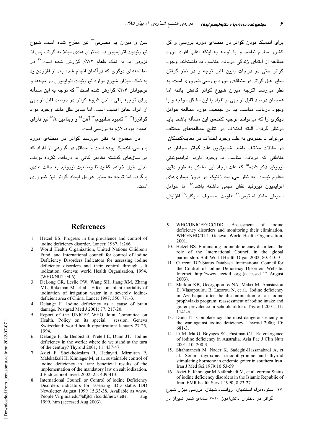سن و میزان بد مصرفی<sup>۲۹</sup> نیز مطرح شده است. شیوع تیروئیدیت اتوایمیون در دختران هندی مبتلا به گواتر، پس از فزودن ید به نمک طعام ۷/۲٪ گزارش شده است.<sup>۳۰</sup> در مطالعههای دیگری که درآلمان انجام شده بعد از افزودن بد به نمک، میزان شیوع موارد تیروئیدت اتوابمیون در بچهها و نوجوانان ۳/۴٪ گزارش شده است<sup>71</sup> که توجه به این مسأله برای توجیه باقی ماندن شیوع گواتر در درصد قابل توجهی از افراد حایز اهمیت است، اما سایر علل مانند وجود مواد گواترزا<sup>۳۲-۲۲</sup> کمبود سلنیوم،<sup>۳۴</sup> آهن<sup>۳</sup> و ویتامین <sup>۳۶</sup>۸ نیز دارای اهمیت بوده، لازم به بررسی است.

در مجموع به نظر می رسد گواتر در منطقهی مورد بررسی، اندمیک بوده است و حداقل در گروهی از افراد که در سالهای گذشته مقادیر کافی بد دریافت نکرده بودند، مدتی طول خواهد کشید تا وضعیت تیروئید به حالت عادی برگردد اما توجه به سایر عوامل ایجاد گواتر نیز ضروری است.

## **References**

- 1. Hetzel BS. Progress in the prevalence and control of iodine deficiency disorder. Lancet: 1987, 1:266
- $2^{\circ}$ World Health Organization, United Nations Chidren's Fund, and International council for control of lodine Deficiency Disorders Indicators for assessing iodine deficiency disorders and their control through salt iodization. Geneva: world Health Organization, 1994. (WHO/NUT 94.6)
- DeLong GR, Leslie PW, Wang SH, Jiang XM, Zhang  $\mathcal{R}$ ML, Rakeman M, et al. Effect on infant mortality of iodination of irrigation water in a severely iodinedeficient area of China. Lancet 1997; 350: 771-3.
- $\mathbf 4$ Delange F. Iodine deficiency as a cause of brain damage. Postgrad Med J 2001; 77: 217-20.
- Report of the UNICEF WHO Joint Committee on  $5<sub>1</sub>$ Health. Policy on its special session. Geneva Switzerland: world health organization: January 27-25, 1994
- Delange F, de Benoist B, Pretell E, Dunn JT. Iodine  $6<sub>1</sub>$ deficiency in the world: where do we stand at the turn of the century? Thyroid 2001; 11: 437-47.
- Azizi F, Sheikhoieslam R, Hedayati, Mirmiran P,  $7.$ Malekafzali H, Kimiager M, et al. sustainable control of iodine deficiency in Iran: beneficial results of the implementation of the mandatory law on salt iodization. J Endocrionol invest 2002; 25: 409-413.
- International Council or Control of lodine Deficiency 8 Disorders indicators for assessing IDD status IDD Newsletter August 1999 15;33-38. Available as www. People.Virginia.edu/%Ejtd /Iccidd/newsletter aug 1999. htm (accessed Aug 2003).

برای اندمیک بودن گواتر در منطقهی مورد بررسی و کل کشور مطرح نباشد و با توجه به اینکه اغلب افراد مورد مطالعه از ابتدای زندگی دریافت مناسب ید داشتهاند، وجود گواتر حتی در درجات پایین قابل توجه و در نظر گرفتن سایر علل گواتر در منطقهی مورد بررسی ضروری است. به نظر میرسد اگرچه میزان شیوع گواتر کاهش یافته اما همچنان درصد قابل توجهی از افراد با این مشکل مواجه و با وجود دریافت مناسب ید در جمعیت مورد مطالعه عوامل دیگری را که میتوانند توجیه کنندهی این مسأله باشند باید درنظر گرفت. البته اختلاف در نتايج مطالعههاى مختلف می تواند تا حدودی به علت وجود اختلاف در معاینهکنندگان در مقالات مختلف باشد. شايعترين علت گواتر جوانان در مناطقی که دریافت مناسب بد وجود دارد، اتوابمبونیتی تیروئید ذکر شده<sup>۲۵</sup> که علت ایجاد این مشکل به طور دقیق معلوم نست. به نظر میرسد ژنتیک در بروز بیماریهای اتوابمیون تیروئید نقش مهمی داشته باشد،<sup>۲۶</sup> اما عوامل محیطی مانند استرس،<sup>۲۷</sup> عفونت، مصرف سیگار،<sup>۲۸</sup> افزایش

- WHO/UNICEF/ICCIDD.  $\mathbf{Q}$ Assessment  $\alpha$ f iodine deficiency disorders and monitoring their elimination. WHO/NHD/01.1. Geneva: World Health Organization, 2001
- 10. Hetzel BS. Eliminating iodine deficiency disorders--the role of the International Council in the global partnership. Bull World Health Organ 2002; 80: 410-3
- 11. Current IDD Status Database. International Council for the Control of lodine Deficiency Disorders Website. Internet: http://www. iccidd. org (accessed 12 August  $2003$ ).
- 12. Markou KB, Georgopoulos NA, Makri M, Anastasiou E, Vlasopoulou B, Lazarou N, et al. Iodine deficiency in Azerbaijan after the discontinuation of an iodine prophylaxis program: reassessment of iodine intake and goiter prevalence in schoolchildren. Thyroid 2001; 11:  $1141 - 6$
- 13. Dunn JT. Complacency: the most dangerous enemy in the war against iodine deficiency. Thyroid 2000; 10: 681-3
- 14. Li M, Ma G, Boyages SC, Eastman CJ. Re-emergence of iodine deficiency in Australia. Asia Pac J Clin Nutr 2001; 10: 200-3.
- 15. Shahmanesh M. Nader K. Sadeghi-Hassanabadi A. et al. Serum thyroxine, triiodothyronine and thyroid stimulating hormone in endemic goiter in southern Iran. Iran J Med Sci, 1979: 10:53-59
- 16. Azizi F, Kimiagar M.Nafarabadi M, et al. current Status of iodine deficiency disorders in the Islamic Republic of Iran. EMR health Serv J 1990; 8:23-27.

١٧. ستودهمرام اسفنديار، روانشاد شهناز. بررسی میزان شیوع

گواتر در دختران دانشآموز ۱۰-۶ سالهی شهر شیراز در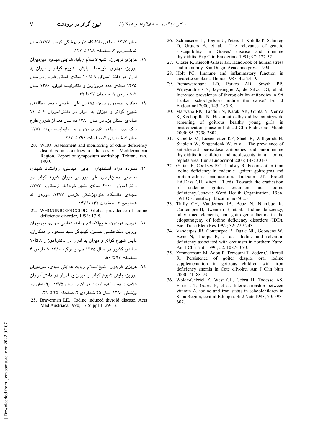سال ۱۳۷۳، مجلهی دانشگاه علوم پزشکی کرمان ۱۳۷۷، سال ۵، شمار دی ۳، صفحات ۱۲۸ تا ۱۳۳.

- ١٨. عزیزی فریدون، شیخالاسلام ربابه، هدایتی مهدی، میرمیران پروین، مهدوی علیرضا. پایش شیوع گواتر و میزان ید ادرار در دانشآموزان ۸ تا ۱۰ سالهی استان فارس در سال ۱۳۷۵ مجلهی غدد درون ریز و متابولیسم ایران، ۱۳۸۰. سال ۳، شمارهی ۱، صفحات ۳۷ تا ۴۲.
- ١٩. مظفری خسروی حسن، دهقاتی علی، افخمی محمد. مطالعهی شیوع گواتر و میزان ید ادرار در دانشآموزان ۶ تا ۱۱ سالهی استان یزد در سال ۱۳۸۰ ده سال بعد از شروع طرح نمک یددار مجلهی غدد درون ریز و متابولیسم ایران ١٣٨٢. سال ۵، شمارهی ۴، صفحات ۲۹۱ تا ۲۸۳.
- 20. WHO. Assessment and monitoring of odine deficiency disorders in countries of the eastern Mediterranean Region, Report of symposium workshop. Tehran, Iran, 1999
- ۲۱. سنوده مرام اسفندیار، پاپی امیدعلی، روانشاد شهناز، صادقی حسنآبادی علی. بررسی میزان شیوع گواتر در دانشآموزان ١٠-۶ سالهى شهر خرمآباد لرستان، ١٣٧٣، مجلهی دانشگاه علومپزشکی کرمان ۱۳۷۷. دوره*ی* ۵، شمارهى ٣. صفحات ١۴٢ تا ١۴٧.
- 22. WHO/UNICEF/ICCIDD, Global prevalence of iodine deficiency disorder, 1993: 17-8.
- ٢٣. عزیزی فریدون، شیخالاسلام ریابه، هدایتی مهدی، میرمیران پروین، ملکافضلی حسین، کیمیاگر سید مسعود و همکاران، پایش شیوع گواتر و میزان ید ادرار در دانشآموزان ۸ تا۱۰ سالهی کشور در سال ۱۳۷۵ طب و تزکیه ۱۳۸۰. شمارهی ۴ صفحات ۴۴ تا ۵۱.
- ٢٤. عزیزی فریدون، شیخالسلام ربابه، هدایتی مهدی، میرمیران پروین، پایش شیوع گواتر و میزان بد ادرار در دانشآموزان هشت تا ده سالهی استان تهران در سال ۱۳۷۵. پژوهش در

یزشکی ۱۳۸۰ سال ۲۵ شمارهی ۲. صفحات ۲۵ تا ۲۹.

25. Braverman LE. Iodine induced thyroid disease. Acta Med Austriaca 1990; 17 Suppl 1: 29-33.

- 26. Schleusener H, Bogner U, Peters H, Kotulla P, Schmieg The relevance of genetic D, Gruters A, et al. susceptibility in Graves' disease and immune thyroiditis. Exp Clin Endocrinol 1991; 97: 127-32.
- 27. Glaser R, Kiecolt-Glaser JK. Handbook of human stress and immunity. San Diego. Academic press, 1994.
- 28. Holt PG. Immune and inflammatory function in cigarette smokers. Thorax 1987: 42: 241-9.
- 29. Premawardhana LD, Parkes AB, Smyth PP, Wijeyaratne CN, Jayasinghe A, de Silva DG, et al. Increased prevalence of thyroglobulin antibodies in Sri Lankan schoolgirls--is iodine the cause? Eur J Endocrinol 2000; 143: 185-8.
- 30. Marwaha RK, Tandon N, Karak AK, Gupta N, Verma K, Kochupillai N. Hashimoto's thyroiditis: countrywide screening of goitrous healthy young girls in postiodization phase in India. J Clin Endocrinol Metab 2000; 85: 3798-3802.
- 31. Kabelitz M, Liesenkotter KP, Stach B, Willgerodt H, Stablein W, Singendonk W, et al. The prevalence of anti-thyroid peroxidase antibodies and autoimmune thyroiditis in children and adolescents in an iodine replete area. Eur J Endocrinol 2003; 148: 301-7.
- 32. Gaitan E, Cooksey RC, Lindsay R. Factors other than iodine deficiency in endemic goiter: goitrogens and<br>protein-calorie malnutrition. In:Dunn JT. Pretell EA.Daza CH, Viteri FE,eds. Towards the eradication goiter.  $\delta$ endemic cretinism and iodine deficiency.Geneva: Word Health Organization. 1986. (WHO scientific publication no.502.)
- 33. Thilly CH, Vanderpas JB, Bebe N, Ntambue K, Contempre B, Swennen B, et al. Iodine deficiency, other trace elements, and goitrogenic factors in the etiopathogeny of iodine deficiency disorders (IDD). Biol Trace Elem Res 1992; 32: 229-243.
- 34. Vanderpas JB, Contempre B, Duale NL, Goossens W, Bebe N, Thorpe R, et al. Iodine and selenium deficiency associated with cretinism in northern Zaire. Am J Clin Nutr 1990; 52: 1087-1093.
- 35. Zimmermann M, Adou P, Torresani T, Zeder C, Hurrell R. Persistence of goiter despite oral iodine supplementation in goitrous children with iron deficiency anemia in Cote d'Ivoire. Am J Clin Nutr 2000; 71: 88-93.
- 36. Wolde-Gebriel Z, West CE, Gebru H, Tadesse AS, Fisseha T, Gabre P, et al. Interrelationship between vitamin A, iodine and iron status in schoolchildren in Shoa Region, central Ethiopia. Br J Nutr 1993; 70: 593-607.